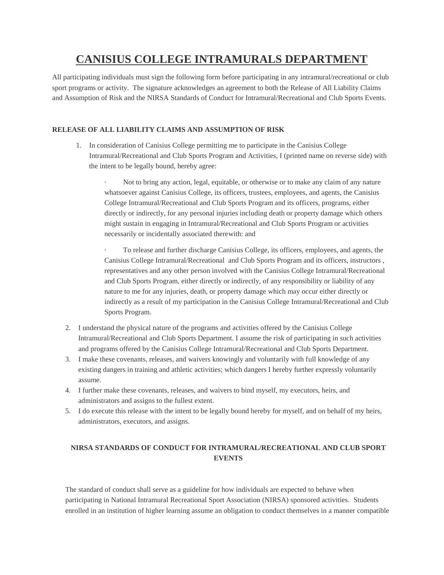# **CANISIUS COLLEGE INTRAMURALS DEPARTMENT**

All participating individuals must sign the following form before participating in any intramural/recreational or club sport programs or activity. The signature acknowledges an agreement to both the Release of All Liability Claims and Assumption of Risk and the NIRSA Standards of Conduct for Intramural/Recreational and Club Sports Events.

## **RELEASE OF ALL LIABILITY CLAIMS AND ASSUMPTION OF RISK**

1. In consideration of Canisius College permitting me to participate in the Canisius College Intramural/Recreational and Club Sports Program and Activities, I (printed name on reverse side) with the intent to be legally bound, hereby agree:

· Not to bring any action, legal, equitable, or otherwise or to make any claim of any nature whatsoever against Canisius College, its officers, trustees, employees, and agents, the Canisius College Intramural/Recreational and Club Sports Program and its officers, programs, either directly or indirectly, for any personal injuries including death or property damage which others might sustain in engaging in Intramural/Recreational and Club Sports Program or activities necessarily or incidentally associated therewith: and

· To release and further discharge Canisius College, its officers, employees, and agents, the Canisius College Intramural/Recreational and Club Sports Program and its officers, instructors , representatives and any other person involved with the Canisius College Intramural/Recreational and Club Sports Program, either directly or indirectly, of any responsibility or liability of any nature to me for any injuries, death, or property damage which may occur either directly or indirectly as a result of my participation in the Canisius College Intramural/Recreational and Club Sports Program.

- 2. I understand the physical nature of the programs and activities offered by the Canisius College Intramural/Recreational and Club Sports Department. I assume the risk of participating in such activities and programs offered by the Canisius College Intramural/Recreational and Club Sports Department.
- 3. I make these covenants, releases, and waivers knowingly and voluntarily with full knowledge of any existing dangers in training and athletic activities; which dangers I hereby further expressly voluntarily assume.
- 4. I further make these covenants, releases, and waivers to bind myself, my executors, heirs, and administrators and assigns to the fullest extent.
- 5. I do execute this release with the intent to be legally bound hereby for myself, and on behalf of my heirs, administrators, executors, and assigns.

## **NIRSA STANDARDS OF CONDUCT FOR INTRAMURAL/RECREATIONAL AND CLUB SPORT EVENTS**

The standard of conduct shall serve as a guideline for how individuals are expected to behave when participating in National Intramural Recreational Sport Association (NIRSA) sponsored activities. Students enrolled in an institution of higher learning assume an obligation to conduct themselves in a manner compatible